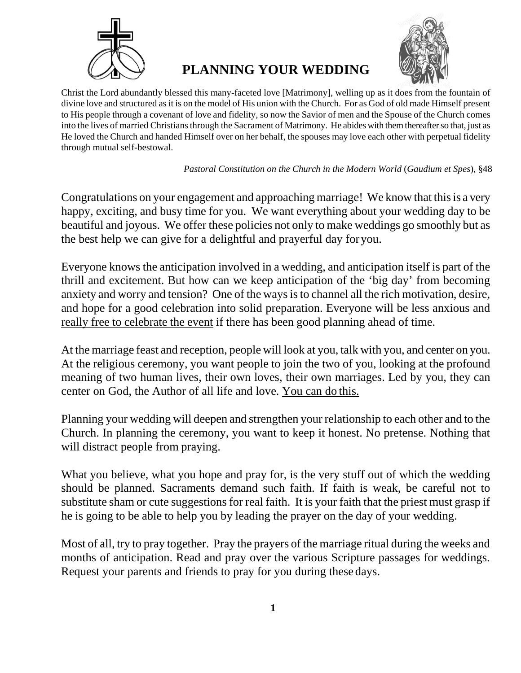

# **PLANNING YOUR WEDDING**



Christ the Lord abundantly blessed this many-faceted love [Matrimony], welling up as it does from the fountain of divine love and structured asit is on the model of His union with the Church. For as God of old made Himself present to His people through a covenant of love and fidelity, so now the Savior of men and the Spouse of the Church comes into the lives of married Christians through the Sacrament of Matrimony. He abides with them thereafter so that, just as He loved the Church and handed Himself over on her behalf, the spouses may love each other with perpetual fidelity through mutual self-bestowal.

#### *Pastoral Constitution on the Church in the Modern World* (*Gaudium et Spes*), §48

Congratulations on your engagement and approaching marriage! We know that this is a very happy, exciting, and busy time for you. We want everything about your wedding day to be beautiful and joyous. We offer these policies not only to make weddings go smoothly but as the best help we can give for a delightful and prayerful day foryou.

Everyone knows the anticipation involved in a wedding, and anticipation itself is part of the thrill and excitement. But how can we keep anticipation of the 'big day' from becoming anxiety and worry and tension? One of the ways is to channel all the rich motivation, desire, and hope for a good celebration into solid preparation. Everyone will be less anxious and really free to celebrate the event if there has been good planning ahead of time.

At the marriage feast and reception, people will look at you, talk with you, and center on you. At the religious ceremony, you want people to join the two of you, looking at the profound meaning of two human lives, their own loves, their own marriages. Led by you, they can center on God, the Author of all life and love. You can do this.

Planning your wedding will deepen and strengthen your relationship to each other and to the Church. In planning the ceremony, you want to keep it honest. No pretense. Nothing that will distract people from praying.

What you believe, what you hope and pray for, is the very stuff out of which the wedding should be planned. Sacraments demand such faith. If faith is weak, be careful not to substitute sham or cute suggestions for real faith. It is your faith that the priest must grasp if he is going to be able to help you by leading the prayer on the day of your wedding.

Most of all, try to pray together. Pray the prayers of the marriage ritual during the weeks and months of anticipation. Read and pray over the various Scripture passages for weddings. Request your parents and friends to pray for you during these days.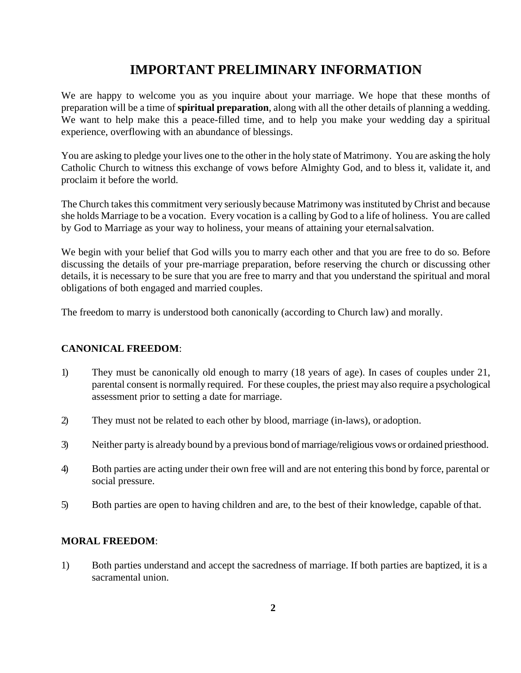# **IMPORTANT PRELIMINARY INFORMATION**

We are happy to welcome you as you inquire about your marriage. We hope that these months of preparation will be a time of **spiritual preparation**, along with all the other details of planning a wedding. We want to help make this a peace-filled time, and to help you make your wedding day a spiritual experience, overflowing with an abundance of blessings.

You are asking to pledge your lives one to the other in the holy state of Matrimony. You are asking the holy Catholic Church to witness this exchange of vows before Almighty God, and to bless it, validate it, and proclaim it before the world.

The Church takes this commitment very seriously because Matrimony was instituted by Christ and because she holds Marriage to be a vocation. Every vocation is a calling by God to a life of holiness. You are called by God to Marriage as your way to holiness, your means of attaining your eternalsalvation.

We begin with your belief that God wills you to marry each other and that you are free to do so. Before discussing the details of your pre-marriage preparation, before reserving the church or discussing other details, it is necessary to be sure that you are free to marry and that you understand the spiritual and moral obligations of both engaged and married couples.

The freedom to marry is understood both canonically (according to Church law) and morally.

#### **CANONICAL FREEDOM**:

- 1) They must be canonically old enough to marry (18 years of age). In cases of couples under 21, parental consent is normally required. For these couples, the priest may also require a psychological assessment prior to setting a date for marriage.
- 2) They must not be related to each other by blood, marriage (in-laws), or adoption.
- 3) Neither party is already bound by a previous bond of marriage/religious vows or ordained priesthood.
- 4) Both parties are acting under their own free will and are not entering this bond by force, parental or social pressure.
- 5) Both parties are open to having children and are, to the best of their knowledge, capable ofthat.

#### **MORAL FREEDOM**:

1) Both parties understand and accept the sacredness of marriage. If both parties are baptized, it is a sacramental union.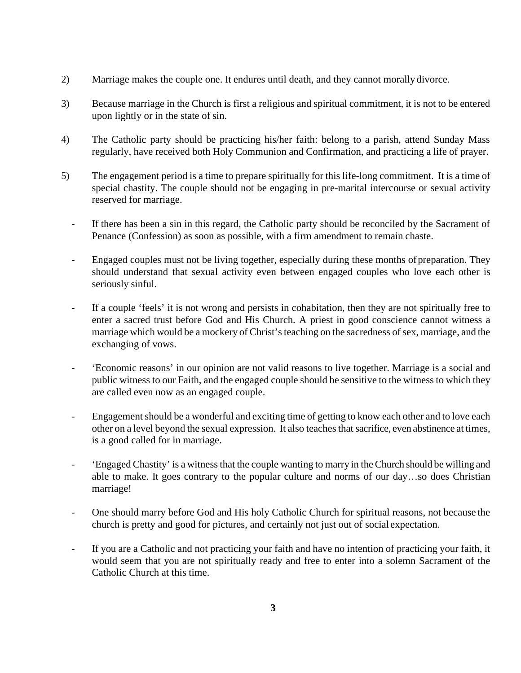- 2) Marriage makes the couple one. It endures until death, and they cannot morally divorce.
- 3) Because marriage in the Church is first a religious and spiritual commitment, it is not to be entered upon lightly or in the state of sin.
- 4) The Catholic party should be practicing his/her faith: belong to a parish, attend Sunday Mass regularly, have received both Holy Communion and Confirmation, and practicing a life of prayer.
- 5) The engagement period is a time to prepare spiritually for this life-long commitment. It is a time of special chastity. The couple should not be engaging in pre-marital intercourse or sexual activity reserved for marriage.
	- If there has been a sin in this regard, the Catholic party should be reconciled by the Sacrament of Penance (Confession) as soon as possible, with a firm amendment to remain chaste.
	- Engaged couples must not be living together, especially during these months of preparation. They should understand that sexual activity even between engaged couples who love each other is seriously sinful.
	- If a couple 'feels' it is not wrong and persists in cohabitation, then they are not spiritually free to enter a sacred trust before God and His Church. A priest in good conscience cannot witness a marriage which would be a mockery of Christ's teaching on the sacredness of sex, marriage, and the exchanging of vows.
	- 'Economic reasons' in our opinion are not valid reasons to live together. Marriage is a social and public witness to our Faith, and the engaged couple should be sensitive to the witness to which they are called even now as an engaged couple.
	- Engagement should be a wonderful and exciting time of getting to know each other and to love each other on a level beyond the sexual expression. It also teaches that sacrifice, even abstinence at times, is a good called for in marriage.
	- 'Engaged Chastity' is a witness that the couple wanting to marry in the Church should be willing and able to make. It goes contrary to the popular culture and norms of our day…so does Christian marriage!
	- One should marry before God and His holy Catholic Church for spiritual reasons, not because the church is pretty and good for pictures, and certainly not just out of social expectation.
	- If you are a Catholic and not practicing your faith and have no intention of practicing your faith, it would seem that you are not spiritually ready and free to enter into a solemn Sacrament of the Catholic Church at this time.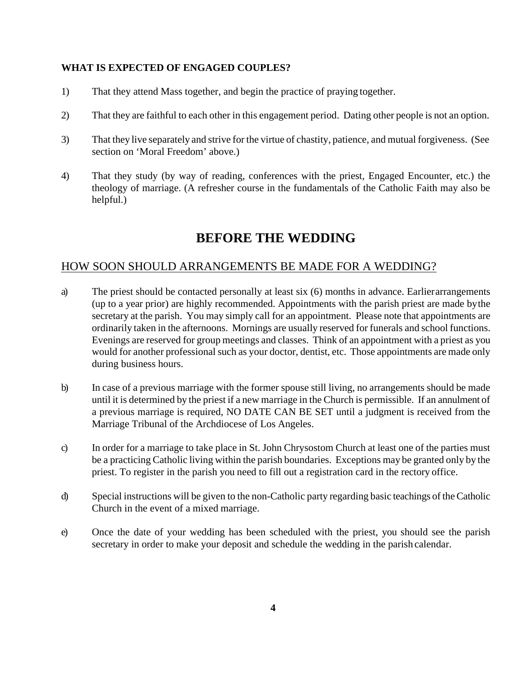#### **WHAT IS EXPECTED OF ENGAGED COUPLES?**

- 1) That they attend Mass together, and begin the practice of praying together.
- 2) That they are faithful to each other in this engagement period. Dating other people is not an option.
- 3) That they live separately and strive for the virtue of chastity, patience, and mutual forgiveness. (See section on 'Moral Freedom' above.)
- 4) That they study (by way of reading, conferences with the priest, Engaged Encounter, etc.) the theology of marriage. (A refresher course in the fundamentals of the Catholic Faith may also be helpful.)

# **BEFORE THE WEDDING**

## HOW SOON SHOULD ARRANGEMENTS BE MADE FOR A WEDDING?

- a) The priest should be contacted personally at least six (6) months in advance. Earlierarrangements (up to a year prior) are highly recommended. Appointments with the parish priest are made bythe secretary at the parish. You may simply call for an appointment. Please note that appointments are ordinarily taken in the afternoons. Mornings are usually reserved for funerals and school functions. Evenings are reserved for group meetings and classes. Think of an appointment with a priest as you would for another professional such as your doctor, dentist, etc. Those appointments are made only during business hours.
- b) In case of a previous marriage with the former spouse still living, no arrangements should be made until it is determined by the priest if a new marriage in the Church is permissible. If an annulment of a previous marriage is required, NO DATE CAN BE SET until a judgment is received from the Marriage Tribunal of the Archdiocese of Los Angeles.
- c) In order for a marriage to take place in St. John Chrysostom Church at least one of the parties must be a practicing Catholic living within the parish boundaries. Exceptions may be granted only by the priest. To register in the parish you need to fill out a registration card in the rectory office.
- d) Special instructions will be given to the non-Catholic party regarding basic teachings of theCatholic Church in the event of a mixed marriage.
- e) Once the date of your wedding has been scheduled with the priest, you should see the parish secretary in order to make your deposit and schedule the wedding in the parish calendar.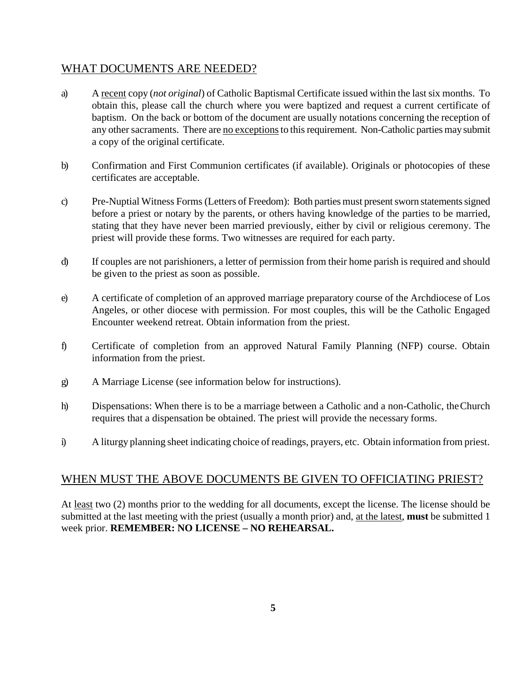### WHAT DOCUMENTS ARE NEEDED?

- a) A recent copy (*not original*) of Catholic Baptismal Certificate issued within the lastsix months. To obtain this, please call the church where you were baptized and request a current certificate of baptism. On the back or bottom of the document are usually notations concerning the reception of any other sacraments. There are no exceptions to this requirement. Non-Catholic parties may submit a copy of the original certificate.
- b) Confirmation and First Communion certificates (if available). Originals or photocopies of these certificates are acceptable.
- c) Pre-Nuptial Witness Forms (Letters of Freedom): Both parties must present sworn statements signed before a priest or notary by the parents, or others having knowledge of the parties to be married, stating that they have never been married previously, either by civil or religious ceremony. The priest will provide these forms. Two witnesses are required for each party.
- d) If couples are not parishioners, a letter of permission from their home parish is required and should be given to the priest as soon as possible.
- e) A certificate of completion of an approved marriage preparatory course of the Archdiocese of Los Angeles, or other diocese with permission. For most couples, this will be the Catholic Engaged Encounter weekend retreat. Obtain information from the priest.
- f) Certificate of completion from an approved Natural Family Planning (NFP) course. Obtain information from the priest.
- g) A Marriage License (see information below for instructions).
- h) Dispensations: When there is to be a marriage between a Catholic and a non-Catholic, theChurch requires that a dispensation be obtained. The priest will provide the necessary forms.
- i) A liturgy planning sheet indicating choice of readings, prayers, etc. Obtain information from priest.

### WHEN MUST THE ABOVE DOCUMENTS BE GIVEN TO OFFICIATING PRIEST?

At least two (2) months prior to the wedding for all documents, except the license. The license should be submitted at the last meeting with the priest (usually a month prior) and, at the latest, **must** be submitted 1 week prior. **REMEMBER: NO LICENSE – NO REHEARSAL.**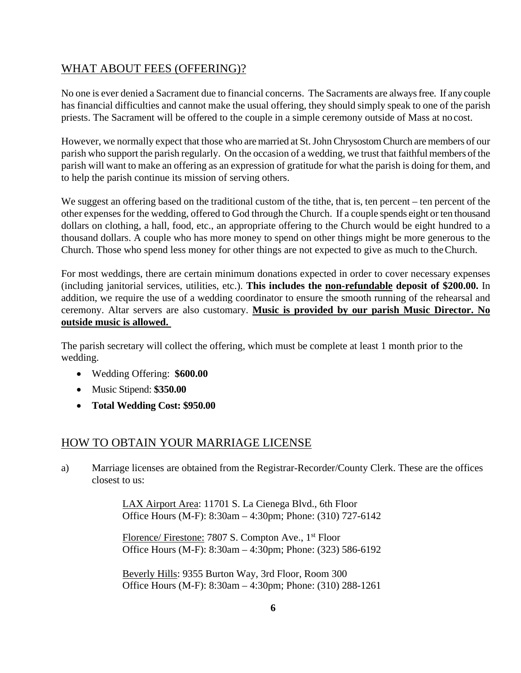## WHAT ABOUT FEES (OFFERING)?

No one is ever denied a Sacrament due to financial concerns. The Sacraments are alwaysfree. If any couple has financial difficulties and cannot make the usual offering, they should simply speak to one of the parish priests. The Sacrament will be offered to the couple in a simple ceremony outside of Mass at no cost.

However, we normally expect that those who are married at St. John Chrysostom Church are members of our parish who support the parish regularly. On the occasion of a wedding, we trust that faithful members of the parish will want to make an offering as an expression of gratitude for what the parish is doing for them, and to help the parish continue its mission of serving others.

We suggest an offering based on the traditional custom of the tithe, that is, ten percent – ten percent of the other expensesfor the wedding, offered to God through the Church. If a couple spends eight or ten thousand dollars on clothing, a hall, food, etc., an appropriate offering to the Church would be eight hundred to a thousand dollars. A couple who has more money to spend on other things might be more generous to the Church. Those who spend less money for other things are not expected to give as much to theChurch.

For most weddings, there are certain minimum donations expected in order to cover necessary expenses (including janitorial services, utilities, etc.). **This includes the non-refundable deposit of \$200.00.** In addition, we require the use of a wedding coordinator to ensure the smooth running of the rehearsal and ceremony. Altar servers are also customary. **Music is provided by our parish Music Director. No outside music is allowed.** 

The parish secretary will collect the offering, which must be complete at least 1 month prior to the wedding.

- Wedding Offering: **\$600.00**
- Music Stipend: **\$350.00**
- **Total Wedding Cost: \$950.00**

### HOW TO OBTAIN YOUR MARRIAGE LICENSE

a) Marriage licenses are obtained from the Registrar-Recorder/County Clerk. These are the offices closest to us:

> LAX Airport Area: 11701 S. La Cienega Blvd., 6th Floor Office Hours (M-F): 8:30am – 4:30pm; Phone: (310) 727-6142

> Florence/ Firestone: 7807 S. Compton Ave., 1<sup>st</sup> Floor Office Hours (M-F): 8:30am – 4:30pm; Phone: (323) 586-6192

> Beverly Hills: 9355 Burton Way, 3rd Floor, Room 300 Office Hours (M-F): 8:30am – 4:30pm; Phone: (310) 288-1261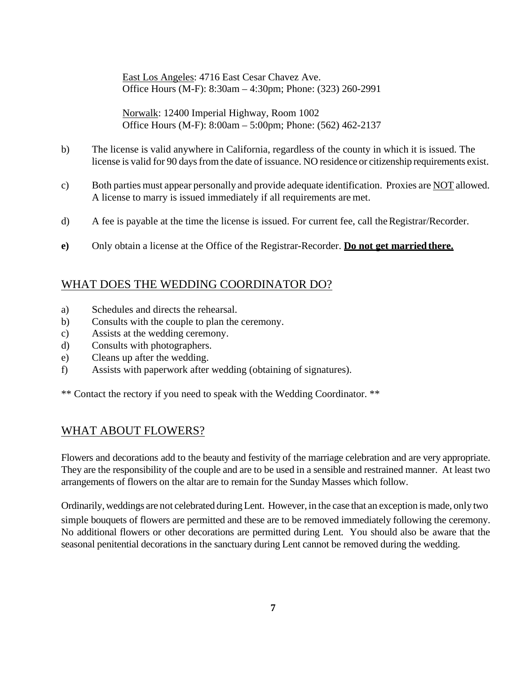East Los Angeles: 4716 East Cesar Chavez Ave. Office Hours (M-F): 8:30am – 4:30pm; Phone: (323) 260-2991

Norwalk: 12400 Imperial Highway, Room 1002 Office Hours (M-F): 8:00am – 5:00pm; Phone: (562) 462-2137

- b) The license is valid anywhere in California, regardless of the county in which it is issued. The license is valid for 90 days from the date of issuance. NO residence or citizenship requirements exist.
- c) Both parties must appear personally and provide adequate identification. Proxies are NOT allowed. A license to marry is issued immediately if all requirements are met.
- d) A fee is payable at the time the license is issued. For current fee, call the Registrar/Recorder.
- **e)** Only obtain a license at the Office of the Registrar-Recorder. **Do not get marriedthere.**

### WHAT DOES THE WEDDING COORDINATOR DO?

- a) Schedules and directs the rehearsal.
- b) Consults with the couple to plan the ceremony.
- c) Assists at the wedding ceremony.
- d) Consults with photographers.
- e) Cleans up after the wedding.
- f) Assists with paperwork after wedding (obtaining of signatures).

\*\* Contact the rectory if you need to speak with the Wedding Coordinator. \*\*

### WHAT ABOUT FLOWERS?

Flowers and decorations add to the beauty and festivity of the marriage celebration and are very appropriate. They are the responsibility of the couple and are to be used in a sensible and restrained manner. At least two arrangements of flowers on the altar are to remain for the Sunday Masses which follow.

Ordinarily, weddings are not celebrated duringLent. However, in the case that an exception is made, only two simple bouquets of flowers are permitted and these are to be removed immediately following the ceremony. No additional flowers or other decorations are permitted during Lent. You should also be aware that the seasonal penitential decorations in the sanctuary during Lent cannot be removed during the wedding.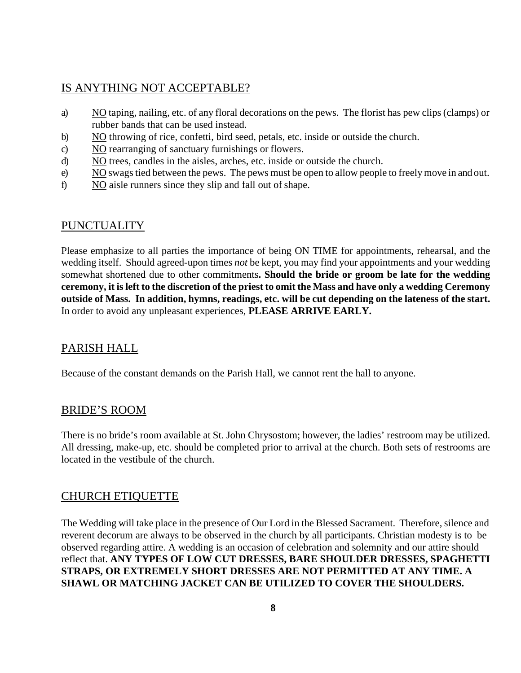### IS ANYTHING NOT ACCEPTABLE?

- a) NO taping, nailing, etc. of any floral decorations on the pews. The florist has pew clips(clamps) or rubber bands that can be used instead.
- b) NO throwing of rice, confetti, bird seed, petals, etc. inside or outside the church.
- c) NO rearranging of sanctuary furnishings or flowers.
- d) NO trees, candles in the aisles, arches, etc. inside or outside the church.
- e) NO swagstied between the pews. The pews must be open to allow people to freelymove in and out.
- f) NO aisle runners since they slip and fall out of shape.

## PUNCTUALITY

Please emphasize to all parties the importance of being ON TIME for appointments, rehearsal, and the wedding itself. Should agreed-upon times *not* be kept, you may find your appointments and your wedding somewhat shortened due to other commitments**. Should the bride or groom be late for the wedding**  ceremony, it is left to the discretion of the priest to omit the Mass and have only a wedding Ceremony outside of Mass. In addition, hymns, readings, etc. will be cut depending on the lateness of the start. In order to avoid any unpleasant experiences, **PLEASE ARRIVE EARLY.**

# PARISH HALL

Because of the constant demands on the Parish Hall, we cannot rent the hall to anyone.

## BRIDE'S ROOM

There is no bride's room available at St. John Chrysostom; however, the ladies' restroom may be utilized. All dressing, make-up, etc. should be completed prior to arrival at the church. Both sets of restrooms are located in the vestibule of the church.

## CHURCH ETIQUETTE

The Wedding will take place in the presence of Our Lord in the Blessed Sacrament. Therefore, silence and reverent decorum are always to be observed in the church by all participants. Christian modesty is to be observed regarding attire. A wedding is an occasion of celebration and solemnity and our attire should reflect that. **ANY TYPES OF LOW CUT DRESSES, BARE SHOULDER DRESSES, SPAGHETTI STRAPS, OR EXTREMELY SHORT DRESSES ARE NOT PERMITTED AT ANY TIME. A SHAWL OR MATCHING JACKET CAN BE UTILIZED TO COVER THE SHOULDERS.**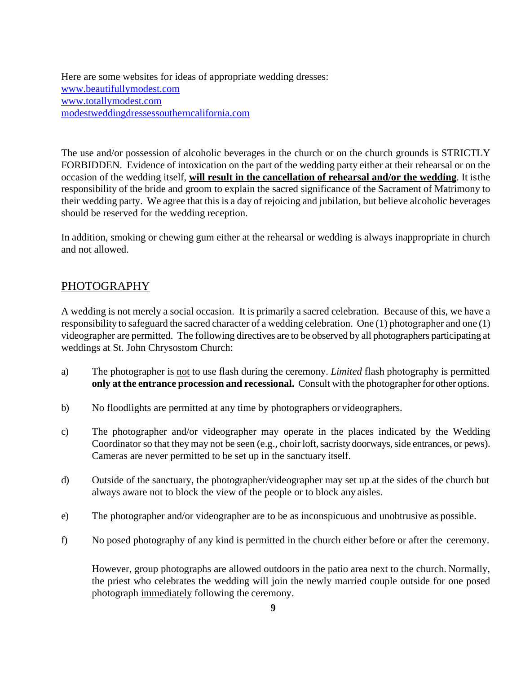Here are some websites for ideas of appropriate wedding dresses: [www.beautifullymodest.com](http://www.beautifullymodest.com/) [www.totallymodest.com](http://www.totallymodest.com/) [modestweddingdressessoutherncalifornia.com](http://modestweddingdressessoutherncalifornia.com/)

The use and/or possession of alcoholic beverages in the church or on the church grounds is STRICTLY FORBIDDEN. Evidence of intoxication on the part of the wedding party either at their rehearsal or on the occasion of the wedding itself, **will result in the cancellation of rehearsal and/or the wedding**. It isthe responsibility of the bride and groom to explain the sacred significance of the Sacrament of Matrimony to their wedding party. We agree that this is a day of rejoicing and jubilation, but believe alcoholic beverages should be reserved for the wedding reception.

In addition, smoking or chewing gum either at the rehearsal or wedding is always inappropriate in church and not allowed.

### PHOTOGRAPHY

A wedding is not merely a social occasion. It is primarily a sacred celebration. Because of this, we have a responsibility to safeguard the sacred character of a wedding celebration. One (1) photographer and one (1) videographer are permitted. The following directives are to be observed by all photographers participating at weddings at St. John Chrysostom Church:

- a) The photographer is not to use flash during the ceremony. *Limited* flash photography is permitted **only at the entrance procession and recessional.** Consult with the photographer for other options.
- b) No floodlights are permitted at any time by photographers or videographers.
- c) The photographer and/or videographer may operate in the places indicated by the Wedding Coordinator so that they may not be seen (e.g., choir loft, sacristy doorways, side entrances, or pews). Cameras are never permitted to be set up in the sanctuary itself.
- d) Outside of the sanctuary, the photographer/videographer may set up at the sides of the church but always aware not to block the view of the people or to block any aisles.
- e) The photographer and/or videographer are to be as inconspicuous and unobtrusive as possible.
- f) No posed photography of any kind is permitted in the church either before or after the ceremony.

However, group photographs are allowed outdoors in the patio area next to the church. Normally, the priest who celebrates the wedding will join the newly married couple outside for one posed photograph immediately following the ceremony.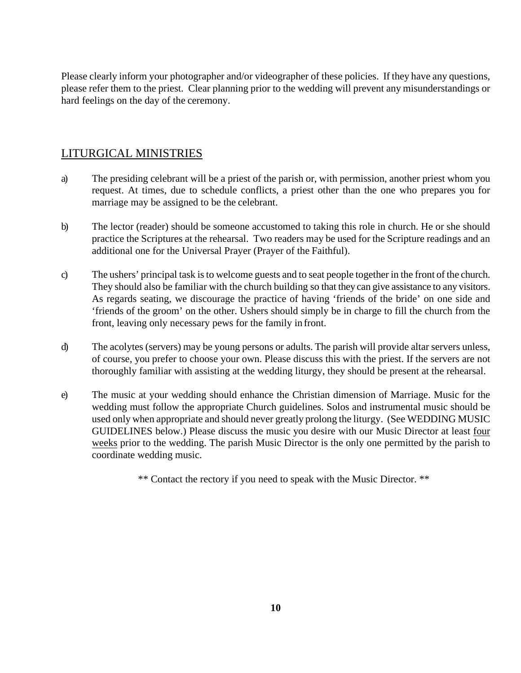Please clearly inform your photographer and/or videographer of these policies. If they have any questions, please refer them to the priest. Clear planning prior to the wedding will prevent any misunderstandings or hard feelings on the day of the ceremony.

### LITURGICAL MINISTRIES

- a) The presiding celebrant will be a priest of the parish or, with permission, another priest whom you request. At times, due to schedule conflicts, a priest other than the one who prepares you for marriage may be assigned to be the celebrant.
- b) The lector (reader) should be someone accustomed to taking this role in church. He or she should practice the Scriptures at the rehearsal. Two readers may be used for the Scripture readings and an additional one for the Universal Prayer (Prayer of the Faithful).
- c) The ushers' principal task isto welcome guests and to seat people together in the front of the church. They should also be familiar with the church building so that they can give assistance to any visitors. As regards seating, we discourage the practice of having 'friends of the bride' on one side and 'friends of the groom' on the other. Ushers should simply be in charge to fill the church from the front, leaving only necessary pews for the family in front.
- d) The acolytes (servers) may be young persons or adults. The parish will provide altar servers unless, of course, you prefer to choose your own. Please discuss this with the priest. If the servers are not thoroughly familiar with assisting at the wedding liturgy, they should be present at the rehearsal.
- e) The music at your wedding should enhance the Christian dimension of Marriage. Music for the wedding must follow the appropriate Church guidelines. Solos and instrumental music should be used only when appropriate and should never greatly prolong the liturgy. (See WEDDING MUSIC GUIDELINES below.) Please discuss the music you desire with our Music Director at least four weeks prior to the wedding. The parish Music Director is the only one permitted by the parish to coordinate wedding music.

\*\* Contact the rectory if you need to speak with the Music Director. \*\*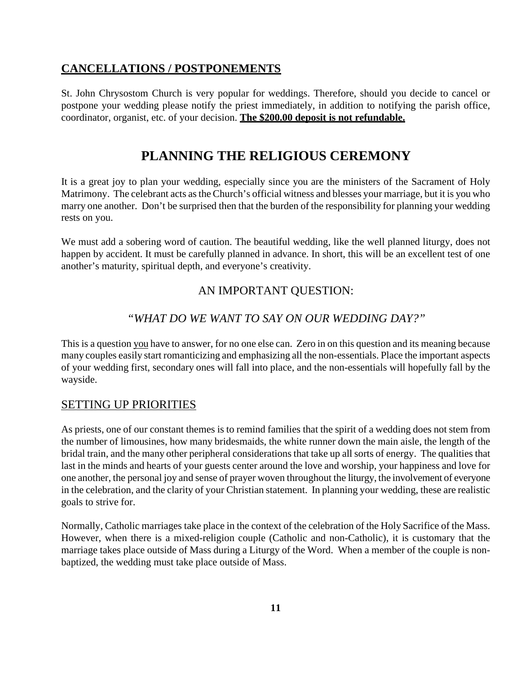### **CANCELLATIONS / POSTPONEMENTS**

St. John Chrysostom Church is very popular for weddings. Therefore, should you decide to cancel or postpone your wedding please notify the priest immediately, in addition to notifying the parish office, coordinator, organist, etc. of your decision. **The \$200.00 deposit is not refundable.**

# **PLANNING THE RELIGIOUS CEREMONY**

It is a great joy to plan your wedding, especially since you are the ministers of the Sacrament of Holy Matrimony. The celebrant acts asthe Church's official witness and blesses your marriage, but it is you who marry one another. Don't be surprised then that the burden of the responsibility for planning your wedding rests on you.

We must add a sobering word of caution. The beautiful wedding, like the well planned liturgy, does not happen by accident. It must be carefully planned in advance. In short, this will be an excellent test of one another's maturity, spiritual depth, and everyone's creativity.

# AN IMPORTANT QUESTION:

## *"WHAT DO WE WANT TO SAY ON OUR WEDDING DAY?"*

This is a question you have to answer, for no one else can. Zero in on this question and its meaning because many couples easily start romanticizing and emphasizing all the non-essentials. Place the important aspects of your wedding first, secondary ones will fall into place, and the non-essentials will hopefully fall by the wayside.

### SETTING UP PRIORITIES

As priests, one of our constant themes is to remind families that the spirit of a wedding does not stem from the number of limousines, how many bridesmaids, the white runner down the main aisle, the length of the bridal train, and the many other peripheral considerations that take up all sorts of energy. The qualities that last in the minds and hearts of your guests center around the love and worship, your happiness and love for one another, the personal joy and sense of prayer woven throughout the liturgy, the involvement of everyone in the celebration, and the clarity of your Christian statement. In planning your wedding, these are realistic goals to strive for.

Normally, Catholic marriages take place in the context of the celebration of the Holy Sacrifice of the Mass. However, when there is a mixed-religion couple (Catholic and non-Catholic), it is customary that the marriage takes place outside of Mass during a Liturgy of the Word. When a member of the couple is nonbaptized, the wedding must take place outside of Mass.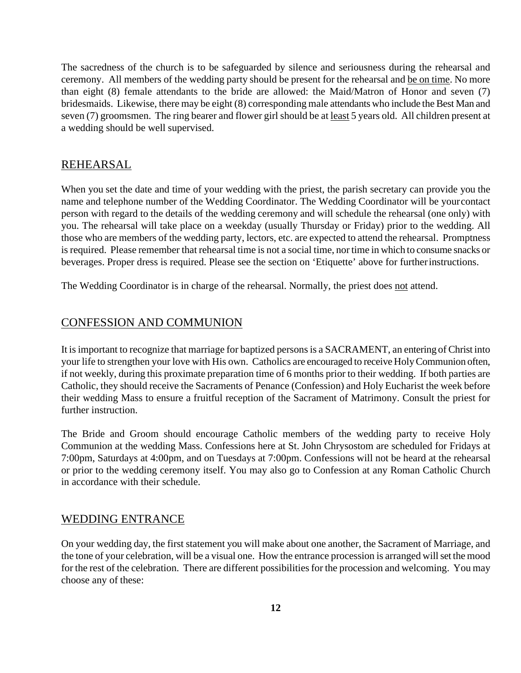The sacredness of the church is to be safeguarded by silence and seriousness during the rehearsal and ceremony. All members of the wedding party should be present for the rehearsal and be on time. No more than eight (8) female attendants to the bride are allowed: the Maid/Matron of Honor and seven (7) bridesmaids. Likewise, there may be eight (8) corresponding male attendants who include the Best Man and seven (7) groomsmen. The ring bearer and flower girl should be at <u>least</u> 5 years old. All children present at a wedding should be well supervised.

#### REHEARSAL

When you set the date and time of your wedding with the priest, the parish secretary can provide you the name and telephone number of the Wedding Coordinator. The Wedding Coordinator will be yourcontact person with regard to the details of the wedding ceremony and will schedule the rehearsal (one only) with you. The rehearsal will take place on a weekday (usually Thursday or Friday) prior to the wedding. All those who are members of the wedding party, lectors, etc. are expected to attend the rehearsal. Promptness is required. Please remember that rehearsal time is not a social time, nor time in which to consume snacks or beverages. Proper dress is required. Please see the section on 'Etiquette' above for furtherinstructions.

The Wedding Coordinator is in charge of the rehearsal. Normally, the priest does not attend.

#### CONFESSION AND COMMUNION

It is important to recognize that marriage for baptized persons is a SACRAMENT, an entering of Christ into your life to strengthen your love with His own. Catholics are encouraged to receive HolyCommunion often, if not weekly, during this proximate preparation time of 6 months prior to their wedding. If both parties are Catholic, they should receive the Sacraments of Penance (Confession) and Holy Eucharist the week before their wedding Mass to ensure a fruitful reception of the Sacrament of Matrimony. Consult the priest for further instruction.

The Bride and Groom should encourage Catholic members of the wedding party to receive Holy Communion at the wedding Mass. Confessions here at St. John Chrysostom are scheduled for Fridays at 7:00pm, Saturdays at 4:00pm, and on Tuesdays at 7:00pm. Confessions will not be heard at the rehearsal or prior to the wedding ceremony itself. You may also go to Confession at any Roman Catholic Church in accordance with their schedule.

#### WEDDING ENTRANCE

On your wedding day, the first statement you will make about one another, the Sacrament of Marriage, and the tone of your celebration, will be a visual one. How the entrance procession is arranged will set the mood for the rest of the celebration. There are different possibilities for the procession and welcoming. You may choose any of these: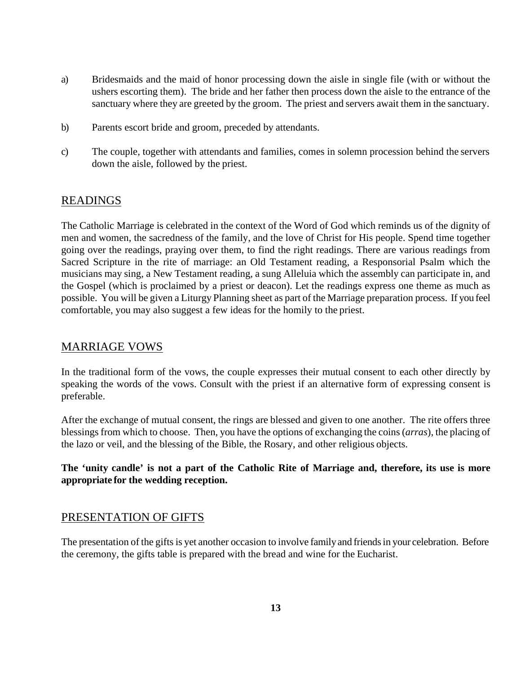- a) Bridesmaids and the maid of honor processing down the aisle in single file (with or without the ushers escorting them). The bride and her father then process down the aisle to the entrance of the sanctuary where they are greeted by the groom. The priest and servers await them in the sanctuary.
- b) Parents escort bride and groom, preceded by attendants.
- c) The couple, together with attendants and families, comes in solemn procession behind the servers down the aisle, followed by the priest.

#### READINGS

The Catholic Marriage is celebrated in the context of the Word of God which reminds us of the dignity of men and women, the sacredness of the family, and the love of Christ for His people. Spend time together going over the readings, praying over them, to find the right readings. There are various readings from Sacred Scripture in the rite of marriage: an Old Testament reading, a Responsorial Psalm which the musicians may sing, a New Testament reading, a sung Alleluia which the assembly can participate in, and the Gospel (which is proclaimed by a priest or deacon). Let the readings express one theme as much as possible. You will be given a Liturgy Planning sheet as part of the Marriage preparation process. If you feel comfortable, you may also suggest a few ideas for the homily to the priest.

#### MARRIAGE VOWS

In the traditional form of the vows, the couple expresses their mutual consent to each other directly by speaking the words of the vows. Consult with the priest if an alternative form of expressing consent is preferable.

After the exchange of mutual consent, the rings are blessed and given to one another. The rite offers three blessings from which to choose. Then, you have the options of exchanging the coins (*arras*), the placing of the lazo or veil, and the blessing of the Bible, the Rosary, and other religious objects.

#### The 'unity candle' is not a part of the Catholic Rite of Marriage and, therefore, its use is more **appropriate for the wedding reception.**

#### PRESENTATION OF GIFTS

The presentation of the gifts is yet another occasion to involve family and friends in your celebration. Before the ceremony, the gifts table is prepared with the bread and wine for the Eucharist.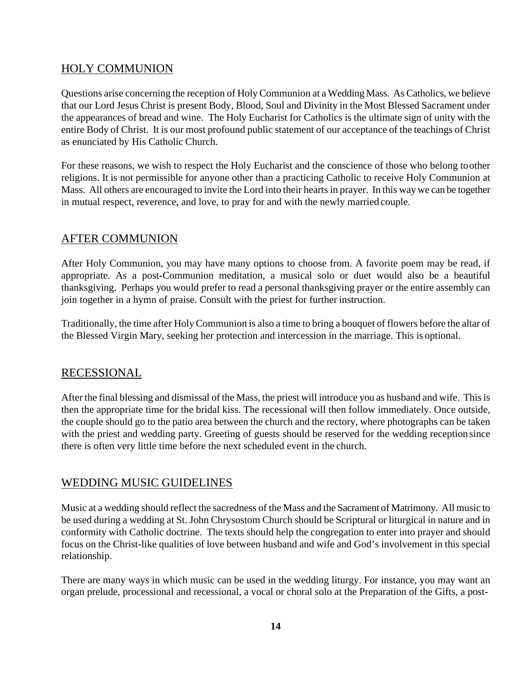## HOLY COMMUNION

Questions arise concerning the reception of HolyCommunion at a Wedding Mass. As Catholics, we believe that our Lord Jesus Christ is present Body, Blood, Soul and Divinity in the Most Blessed Sacrament under the appearances of bread and wine. The Holy Eucharist for Catholics is the ultimate sign of unity with the entire Body of Christ. It is our most profound public statement of our acceptance of the teachings of Christ as enunciated by His Catholic Church.

For these reasons, we wish to respect the Holy Eucharist and the conscience of those who belong toother religions. It is not permissible for anyone other than a practicing Catholic to receive Holy Communion at Mass. All others are encouraged to invite the Lord into their hearts in prayer. In this way we can be together in mutual respect, reverence, and love, to pray for and with the newly married couple.

## AFTER COMMUNION

After Holy Communion, you may have many options to choose from. A favorite poem may be read, if appropriate. As a post-Communion meditation, a musical solo or duet would also be a beautiful thanksgiving. Perhaps you would prefer to read a personal thanksgiving prayer or the entire assembly can join together in a hymn of praise. Consult with the priest for further instruction.

Traditionally, the time after HolyCommunion is also a time to bring a bouquet of flowers before the altar of the Blessed Virgin Mary, seeking her protection and intercession in the marriage. This is optional.

## RECESSIONAL

After the final blessing and dismissal of the Mass, the priest will introduce you as husband and wife. This is then the appropriate time for the bridal kiss. The recessional will then follow immediately. Once outside, the couple should go to the patio area between the church and the rectory, where photographs can be taken with the priest and wedding party. Greeting of guests should be reserved for the wedding reception since there is often very little time before the next scheduled event in the church.

### WEDDING MUSIC GUIDELINES

Music at a wedding should reflect the sacredness of the Mass and the Sacrament of Matrimony. All music to be used during a wedding at St. John Chrysostom Church should be Scriptural or liturgical in nature and in conformity with Catholic doctrine. The texts should help the congregation to enter into prayer and should focus on the Christ-like qualities of love between husband and wife and God's involvement in this special relationship.

There are many ways in which music can be used in the wedding liturgy. For instance, you may want an organ prelude, processional and recessional, a vocal or choral solo at the Preparation of the Gifts, a post